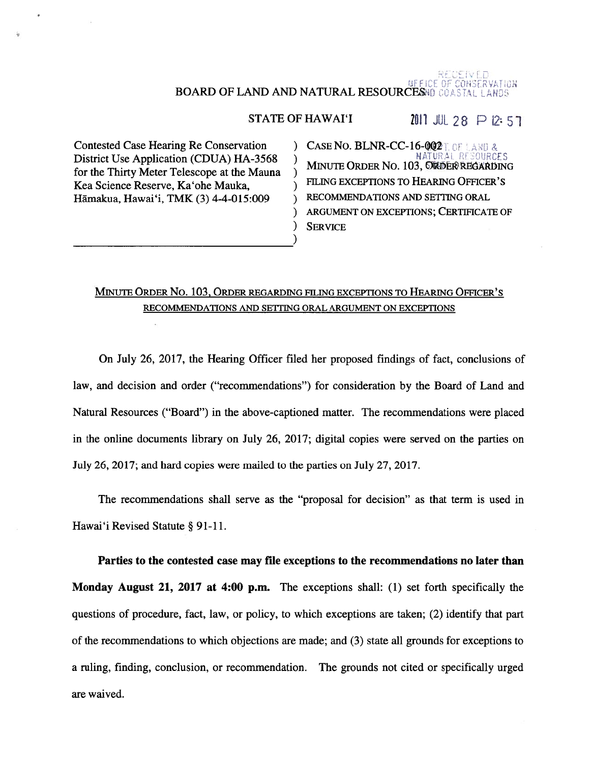#### RECEIVED **SEFICE OF CONSERVATION** BOARD OF LAND AND NATURAL RESOURCESNO COASTAL LANDS

STATE OF HAWAI'I 2011 JUL 28  $\triangleright$  12: 5]

Contested Case Hearing Re Conservation ) CASE No. BLNR-CC-16-002 T. OF LAND &<br>District Use Application (CDUA) HA-3568 ) May represented MATURAL RESOURCES Kea Science Reserve, Ka'ohe Mauka, Hāmakua, Hawai'i, TMK (3) 4-4-015:009 ) RECOMMENDATIONS AND SETTING ORAL

District Use Application (CDUA) HA-3568<br>for the Thirty Meter Telescope at the Mauna ) FILING EXCEPTIONS TO HEARING OFFICER'S ) ARGUMENT ON EXCEPTIONS; CERTIFICATE OF **SERVICE** 

# MINUTE ORDER No. 103, ORDER REGARDING FILING EXCEPTIONS TO HEARING OFFICER'S RECOMMENDATIONS AND SETTING ORAL ARGUMENT ON EXCEPTIONS

On July 26, 2017, the Hearing Officer filed her proposed findings of fact, conclusions of law, and decision and order ("recommendations") for consideration by the Board of Land and Natural Resources ("Board") in the above-captioned matter. The recommendations were placed in the online documents library on July 26, 2017; digital copies were served on the parties on July 26, 2017; and hard copies were mailed to the parties on July 27, 2017.

The recommendations shall serve as the "proposal for decision" as that term is used in Hawai'i Revised Statute § 91-11.

Parties to the contested case may file exceptions to the recommendations no later than Monday August 21, 2017 at 4:00 p.m. The exceptions shall: (1) set forth specifically the questions of procedure, fact, law, or policy, to which exceptions are taken; (2) identify that par<sup>t</sup> of the recommendations to which objections are made; and (3) state all grounds for exceptions to <sup>a</sup> ruling, finding, conclusion, or recommendation. The grounds not cited or specifically urged are waived.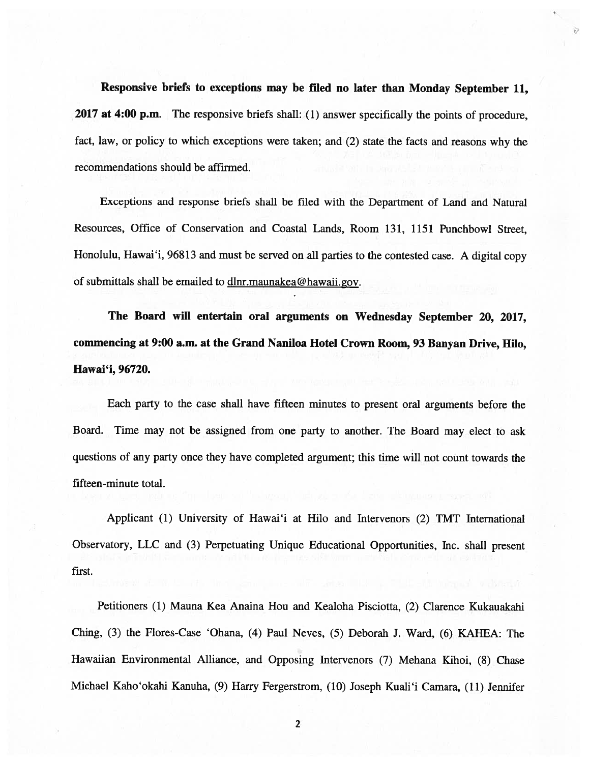Responsive briefs to exceptions may be filed no later than Monday September 11, 2017 at 4:00 p.m. The responsive briefs shall: (1) answer specifically the points of procedure, fact, law, or policy to which exceptions were taken; and (2) state the facts and reasons why the recommendations should be affirmed.

Exceptions and response briefs shall be filed with the Department of Land and Natural Resources, Office of Conservation and Coastal Lands, Room 131, 1151 Punchbowl Street, Honolulu, Hawai'i, <sup>96813</sup> and must be served on all parties to the contested case. <sup>A</sup> digital copy of submittals shall be emailed to dlnr.maunakea@hawaii.gov.

The Board will entertain oral arguments on Wednesday September 20, 2017, commencing at 9:00 a.m. at the Grand Naniloa Hotel Crown Room, 93 Banyan Drive, Hilo, Hawai'i, 96720.

Each party to the case shall have fifteen minutes to presen<sup>t</sup> oral arguments before the Board. Time may not be assigned from one party to another. The Board may elect to ask questions of any party once they have completed argument; this time will not count towards the fifteen-minute total.

Applicant (1) University of Hawai'i at Hilo and Intervenors (2) TMT International Observatory, LLC and (3) Perpetuating Unique Educational Opportunities, Inc. shall presen<sup>t</sup> first.

Petitioners (1) Mauna Kea Anaina Hou and Kealoha Pisciotta, (2) Clarence Kukauakahi Ching, (3) the Flores-Case 'Ohana, (4) Paul Neves, (5) Deborah J. Ward, (6) KAHEA: The Hawaiian Environmental Alliance, and Opposing Intervenors (7) Mehana Kihoi, (8) Chase Michael Kaho 'okahi Kanuha, (9) Harry Fergerstrom, (10) Joseph Kuali'i Camara, (11) Jennifer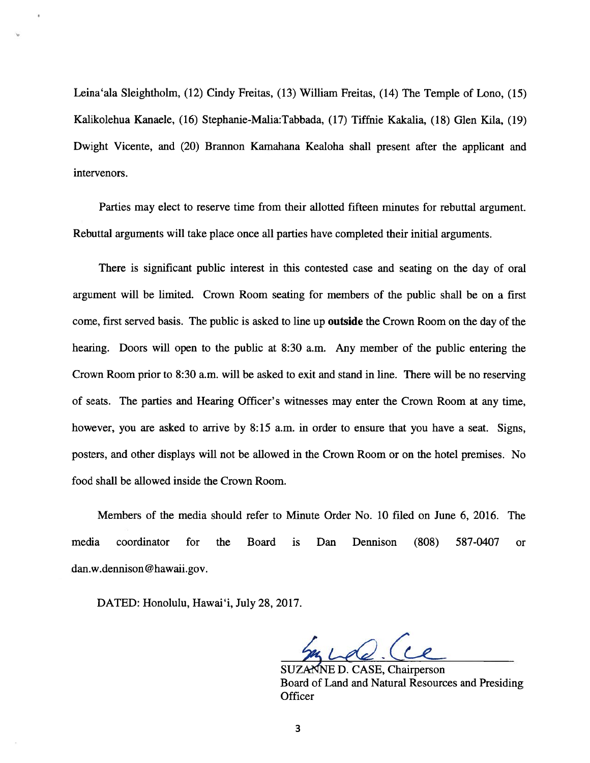Leina'ala Sleightholm, (12) Cindy Freitas, (13) William Freitas, (14) The Temple of Lono, (15) Kalikolehua Kanaele, (16) Stephanie-Malia:Tabbada, (17) Tiffnie Kakalia, (18) Glen Kila, (19) Dwight Vicente, and (20) Brannon Kamahana Kealoha shall presen<sup>t</sup> after the applicant and intervenors.

Parties may elect to reserve time from their allotted fifteen minutes for rebuttal argument. Rebuttal arguments will take place once all parties have completed their initial arguments.

There is significant public interest in this contested case and seating on the day of oral argumen<sup>t</sup> will be limited. Crown Room seating for members of the public shall be on <sup>a</sup> first come, first served basis. The public is asked to line up outside the Crown Room on the day of the hearing. Doors will open to the public at 8:30 a.m. Any member of the public entering the Crown Room prior to 8:30 a.m. will be asked to exit and stand in line. There will be no reserving of seats. The parties and Hearing Officer's witnesses may enter the Crown Room at any time, however, you are asked to arrive by 8:15 a.m. in order to ensure that you have a seat. Signs, posters, and other displays will not be allowed in the Crown Room or on the hotel premises. No food shall be allowed inside the Crown Room.

Members of the media should refer to Minute Order No. 10 filed on June 6, 2016. The media coordinator for the Board is Dan Dennison (808) 587-0407 or dan.w.dennison @hawaii.gov.

DATED: Honolulu, Hawai'i, July 28, 2017.

SUZANNE D. CASE, Chairperson Board of Land and Natural Resources and Presiding **Officer**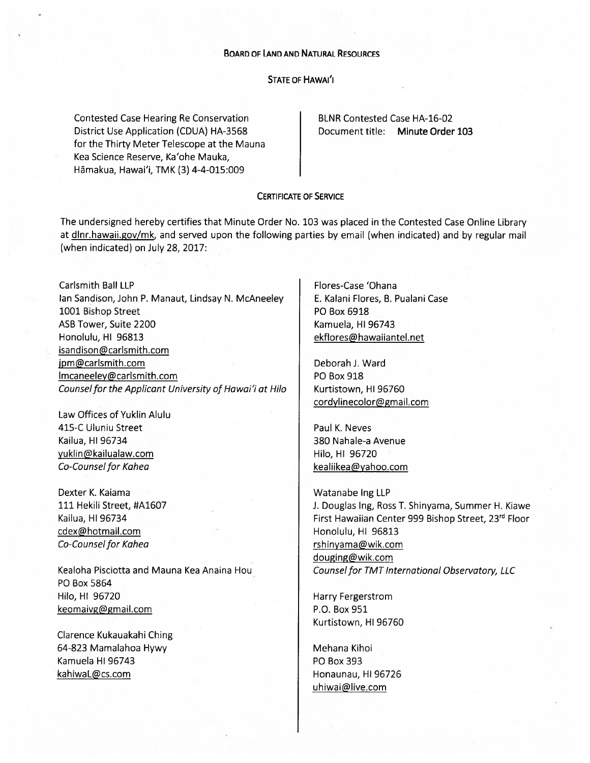### BOARD OF LAND AND NATURAL RESOURCES

# STATE OF HAwAI'I

Contested Case Hearing Re Conservation District Use Application (CDUA) HA-3568 for the Thirty Meter Telescope at the Mauna Kea Science Reserve, Ka'ohe Mauka, Hãmakua, Hawai'i, TMK (3) 4-4-015:009

BLNR Contested Case HA-16-02 Document title: Minute Order 103

## CERTIFICATE OF SERVICE

The undersigned hereby certifies that Minute Order No. 103 was <sup>p</sup>laced in the Contested Case Online Library at dlnr.hawaii.gov/mk, and served upon the following parties by email (when indicated) and by regular mail (when indicated) on July 28, 2017:

Carlsmith Ball LLP Ian Sandison, John P. Manaut, Lindsay N. McAneeley 1001 Bishop Street ASB Tower, Suite 2200 Honolulu, HI 96813 isandison@carlsmith.com ipm@carlsmith.com lmcaneeley@carlsmith.com Counsel for the Applicant University of Hawai'i at Hilo

Law Offices of Yuklin Alulu 415-C Uluniu Street Kailua, HI 96734 yuklin@kailualaw.com Co-Counsel for Kahea

Dexter K. Kaiama 111 Hekili Street, #A1607 Kailua, HI 96734 cdex@hotmail.com Co-Counsel for Kahea

Kealoha Pisciotta and Mauna Kea Anaina Hou P0 Box 5864 Hilo, HI 96720 keomaivg@gmail.com

Clarence Kukauakahi Ching 64-823 Mamalahoa Hywy Kamuela HI 96743 kahiwaL@cs.com

Flores-Case 'Ohana E. Kalani Flores, B. Pualani Case P0 Box 6918 Kamuela, HI 96743 ekflores@hawaiiantel.net

Deborah J. Ward PD Box 918 Kurtistown, HI 96760 cordylinecolor@gmail.com

Paul K. Neves 380 Nahale-a Avenue Hilo, HI 96720 kealiikea @yahoo.com

Watanabe Ing LLP J. Douglas Ing, Ross T. Shinyama, Summer H. Kiawe First Hawaiian Center 999 Bishop Street, 23rd Floor Honolulu, HI 96813 rshinyama@wik.com douging@wik.com Counsel for TMT International Observatory, LLC

Harry Fergerstrom P.O. Box 951 Kurtistown, HI 96760

Mehana Kihoi PD Box 393 Honaunau, HI 96726 uhiwai@live.com